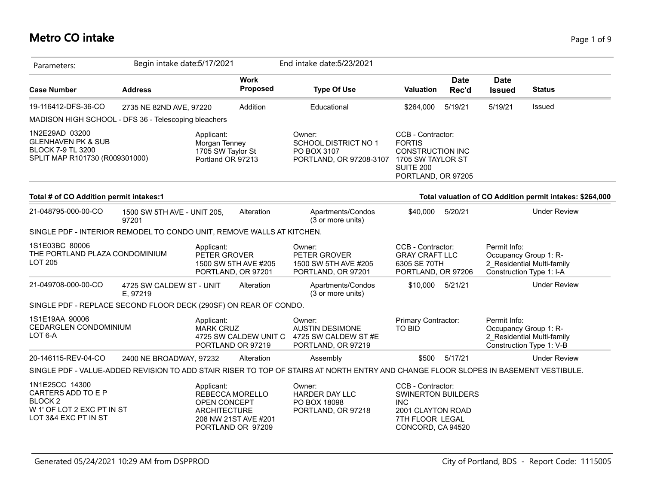# **Metro CO intake** Page 1 of 9

| Parameters:                                                                                                   | Begin intake date: 5/17/2021         |                                                                       |                                                              | End intake date: 5/23/2021                                                                                                          |                                                                                                                           |                      |                              |                                                                                 |
|---------------------------------------------------------------------------------------------------------------|--------------------------------------|-----------------------------------------------------------------------|--------------------------------------------------------------|-------------------------------------------------------------------------------------------------------------------------------------|---------------------------------------------------------------------------------------------------------------------------|----------------------|------------------------------|---------------------------------------------------------------------------------|
| <b>Case Number</b>                                                                                            | <b>Address</b>                       |                                                                       | <b>Work</b><br>Proposed                                      | <b>Type Of Use</b>                                                                                                                  | Valuation                                                                                                                 | <b>Date</b><br>Rec'd | <b>Date</b><br><b>Issued</b> | <b>Status</b>                                                                   |
| 19-116412-DFS-36-CO                                                                                           | 2735 NE 82ND AVE, 97220              |                                                                       | Addition                                                     | Educational                                                                                                                         | \$264,000                                                                                                                 | 5/19/21              | 5/19/21                      | <b>Issued</b>                                                                   |
| MADISON HIGH SCHOOL - DFS 36 - Telescoping bleachers                                                          |                                      |                                                                       |                                                              |                                                                                                                                     |                                                                                                                           |                      |                              |                                                                                 |
| 1N2E29AD 03200<br><b>GLENHAVEN PK &amp; SUB</b><br><b>BLOCK 7-9 TL 3200</b><br>SPLIT MAP R101730 (R009301000) |                                      | Applicant:<br>Morgan Tenney<br>1705 SW Taylor St<br>Portland OR 97213 |                                                              | Owner:<br><b>SCHOOL DISTRICT NO 1</b><br>PO BOX 3107<br>PORTLAND, OR 97208-3107                                                     | CCB - Contractor:<br><b>FORTIS</b><br><b>CONSTRUCTION INC</b><br>1705 SW TAYLOR ST<br>SUITE 200<br>PORTLAND, OR 97205     |                      |                              |                                                                                 |
| Total # of CO Addition permit intakes:1                                                                       |                                      |                                                                       |                                                              |                                                                                                                                     |                                                                                                                           |                      |                              | Total valuation of CO Addition permit intakes: \$264,000                        |
| 21-048795-000-00-CO                                                                                           | 1500 SW 5TH AVE - UNIT 205,<br>97201 |                                                                       | Alteration                                                   | Apartments/Condos<br>(3 or more units)                                                                                              | \$40,000                                                                                                                  | 5/20/21              |                              | <b>Under Review</b>                                                             |
| SINGLE PDF - INTERIOR REMODEL TO CONDO UNIT, REMOVE WALLS AT KITCHEN.                                         |                                      |                                                                       |                                                              |                                                                                                                                     |                                                                                                                           |                      |                              |                                                                                 |
| 1S1E03BC 80006<br>THE PORTLAND PLAZA CONDOMINIUM<br><b>LOT 205</b>                                            |                                      | Applicant:<br>PETER GROVER                                            | 1500 SW 5TH AVE #205<br>PORTLAND, OR 97201                   | Owner:<br>PETER GROVER<br>1500 SW 5TH AVE #205<br>PORTLAND, OR 97201                                                                | CCB - Contractor:<br><b>GRAY CRAFT LLC</b><br>6305 SE 70TH<br>PORTLAND, OR 97206                                          |                      | Permit Info:                 | Occupancy Group 1: R-<br>2_Residential Multi-family<br>Construction Type 1: I-A |
| 21-049708-000-00-CO                                                                                           | 4725 SW CALDEW ST - UNIT<br>E, 97219 |                                                                       | Alteration                                                   | Apartments/Condos<br>(3 or more units)                                                                                              | \$10,000 5/21/21                                                                                                          |                      |                              | <b>Under Review</b>                                                             |
| SINGLE PDF - REPLACE SECOND FLOOR DECK (290SF) ON REAR OF CONDO.                                              |                                      |                                                                       |                                                              |                                                                                                                                     |                                                                                                                           |                      |                              |                                                                                 |
| 1S1E19AA 90006<br>CEDARGLEN CONDOMINIUM<br>LOT 6-A                                                            |                                      | Applicant:<br><b>MARK CRUZ</b>                                        | 4725 SW CALDEW UNIT C<br>PORTLAND OR 97219                   | Owner:<br><b>AUSTIN DESIMONE</b><br>4725 SW CALDEW ST #E<br>PORTLAND, OR 97219                                                      | Primary Contractor:<br>TO BID                                                                                             |                      | Permit Info:                 | Occupancy Group 1: R-<br>2 Residential Multi-family<br>Construction Type 1: V-B |
| 20-146115-REV-04-CO                                                                                           | 2400 NE BROADWAY, 97232              |                                                                       | Alteration                                                   | Assembly                                                                                                                            | \$500                                                                                                                     | 5/17/21              |                              | <b>Under Review</b>                                                             |
|                                                                                                               |                                      |                                                                       |                                                              | SINGLE PDF - VALUE-ADDED REVISION TO ADD STAIR RISER TO TOP OF STAIRS AT NORTH ENTRY AND CHANGE FLOOR SLOPES IN BASEMENT VESTIBULE. |                                                                                                                           |                      |                              |                                                                                 |
| 1N1E25CC 14300<br>CARTERS ADD TO E P<br><b>BLOCK2</b><br>W 1' OF LOT 2 EXC PT IN ST<br>LOT 3&4 EXC PT IN ST   |                                      | Applicant:<br>OPEN CONCEPT<br><b>ARCHITECTURE</b>                     | REBECCA MORELLO<br>208 NW 21ST AVE #201<br>PORTLAND OR 97209 | Owner:<br>HARDER DAY LLC<br>PO BOX 18098<br>PORTLAND, OR 97218                                                                      | CCB - Contractor:<br><b>SWINERTON BUILDERS</b><br><b>INC</b><br>2001 CLAYTON ROAD<br>7TH FLOOR LEGAL<br>CONCORD, CA 94520 |                      |                              |                                                                                 |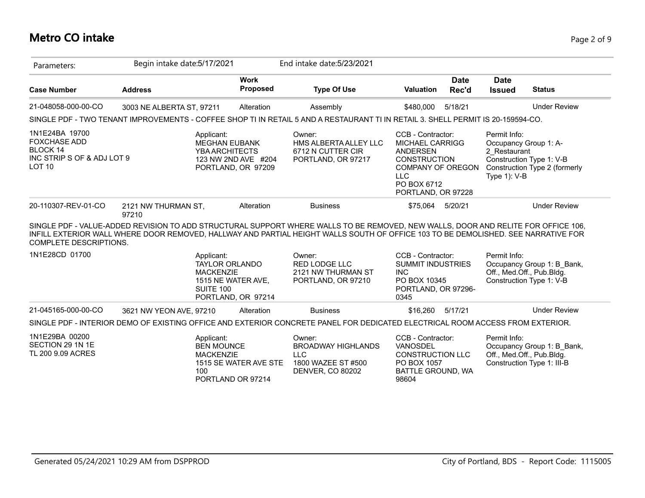## **Metro CO intake** Page 2 of 9

| Parameters:                                                                                            | Begin intake date: 5/17/2021 |                                                                                                           |                         | End intake date: 5/23/2021                                                                                                                                                                                                                                             |                                                                                                                                                               |                      |                                                                          |                                                                                     |
|--------------------------------------------------------------------------------------------------------|------------------------------|-----------------------------------------------------------------------------------------------------------|-------------------------|------------------------------------------------------------------------------------------------------------------------------------------------------------------------------------------------------------------------------------------------------------------------|---------------------------------------------------------------------------------------------------------------------------------------------------------------|----------------------|--------------------------------------------------------------------------|-------------------------------------------------------------------------------------|
| <b>Case Number</b>                                                                                     | <b>Address</b>               |                                                                                                           | <b>Work</b><br>Proposed | <b>Type Of Use</b>                                                                                                                                                                                                                                                     | <b>Valuation</b>                                                                                                                                              | <b>Date</b><br>Rec'd | <b>Date</b><br><b>Issued</b>                                             | <b>Status</b>                                                                       |
| 21-048058-000-00-CO                                                                                    | 3003 NE ALBERTA ST, 97211    |                                                                                                           | Alteration              | Assembly                                                                                                                                                                                                                                                               | \$480,000                                                                                                                                                     | 5/18/21              |                                                                          | <b>Under Review</b>                                                                 |
|                                                                                                        |                              |                                                                                                           |                         | SINGLE PDF - TWO TENANT IMPROVEMENTS - COFFEE SHOP TI IN RETAIL 5 AND A RESTAURANT TI IN RETAIL 3. SHELL PERMIT IS 20-159594-CO.                                                                                                                                       |                                                                                                                                                               |                      |                                                                          |                                                                                     |
| 1N1E24BA 19700<br><b>FOXCHASE ADD</b><br><b>BLOCK 14</b><br>INC STRIPS OF & ADJ LOT 9<br><b>LOT 10</b> |                              | Applicant:<br><b>MEGHAN EUBANK</b><br><b>YBA ARCHITECTS</b><br>PORTLAND, OR 97209                         | 123 NW 2ND AVE #204     | Owner:<br>HMS ALBERTA ALLEY LLC<br>6712 N CUTTER CIR<br>PORTLAND, OR 97217                                                                                                                                                                                             | CCB - Contractor:<br><b>MICHAEL CARRIGG</b><br><b>ANDERSEN</b><br><b>CONSTRUCTION</b><br>COMPANY OF OREGON<br><b>LLC</b><br>PO BOX 6712<br>PORTLAND, OR 97228 |                      | Permit Info:<br>Occupancy Group 1: A-<br>2 Restaurant<br>Type $1$ ): V-B | Construction Type 1: V-B<br>Construction Type 2 (formerly                           |
| 20-110307-REV-01-CO                                                                                    | 2121 NW THURMAN ST,<br>97210 |                                                                                                           | Alteration              | <b>Business</b>                                                                                                                                                                                                                                                        | \$75,064                                                                                                                                                      | 5/20/21              |                                                                          | <b>Under Review</b>                                                                 |
| COMPLETE DESCRIPTIONS.                                                                                 |                              |                                                                                                           |                         | SINGLE PDF - VALUE-ADDED REVISION TO ADD STRUCTURAL SUPPORT WHERE WALLS TO BE REMOVED, NEW WALLS, DOOR AND RELITE FOR OFFICE 106,<br>INFILL EXTERIOR WALL WHERE DOOR REMOVED, HALLWAY AND PARTIAL HEIGHT WALLS SOUTH OF OFFICE 103 TO BE DEMOLISHED. SEE NARRATIVE FOR |                                                                                                                                                               |                      |                                                                          |                                                                                     |
| 1N1E28CD 01700                                                                                         |                              | Applicant:<br>TAYLOR ORLANDO<br><b>MACKENZIE</b><br>1515 NE WATER AVE,<br>SUITE 100<br>PORTLAND, OR 97214 |                         | Owner:<br><b>RED LODGE LLC</b><br>2121 NW THURMAN ST<br>PORTLAND, OR 97210                                                                                                                                                                                             | CCB - Contractor:<br><b>SUMMIT INDUSTRIES</b><br><b>INC</b><br>PO BOX 10345<br>PORTLAND, OR 97296-<br>0345                                                    |                      | Permit Info:                                                             | Occupancy Group 1: B Bank,<br>Off., Med.Off., Pub.Bldg.<br>Construction Type 1: V-B |
| 21-045165-000-00-CO                                                                                    | 3621 NW YEON AVE, 97210      |                                                                                                           | Alteration              | <b>Business</b>                                                                                                                                                                                                                                                        | \$16,260                                                                                                                                                      | 5/17/21              |                                                                          | <b>Under Review</b>                                                                 |
|                                                                                                        |                              |                                                                                                           |                         | SINGLE PDF - INTERIOR DEMO OF EXISTING OFFICE AND EXTERIOR CONCRETE PANEL FOR DEDICATED ELECTRICAL ROOM ACCESS FROM EXTERIOR.                                                                                                                                          |                                                                                                                                                               |                      |                                                                          |                                                                                     |
| 1N1E29BA 00200<br>SECTION 29 1N 1E<br>TL 200 9.09 ACRES                                                |                              | Applicant:<br><b>BEN MOUNCE</b><br><b>MACKENZIE</b><br>100                                                | 1515 SE WATER AVE STE   | Owner:<br><b>BROADWAY HIGHLANDS</b><br><b>LLC</b><br>1800 WAZEE ST #500<br>DENVER, CO 80202                                                                                                                                                                            | CCB - Contractor:<br>VANOSDEL<br><b>CONSTRUCTION LLC</b><br>PO BOX 1057<br>BATTLE GROUND, WA                                                                  |                      | Permit Info:<br>Construction Type 1: III-B                               | Occupancy Group 1: B Bank,<br>Off., Med.Off., Pub.Bldg.                             |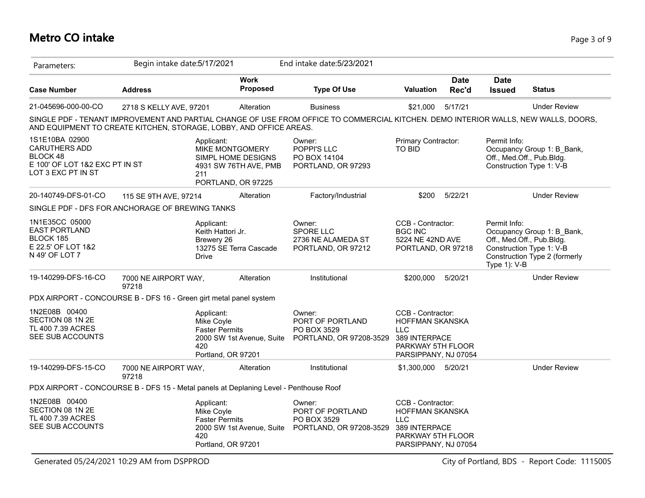## **Metro CO intake** Page 3 of 9

| Parameters:                                                                                                | Begin intake date: 5/17/2021  |                                                                                                             | End intake date: 5/23/2021                                                                                                          |                                                                                                                         |                      |                              |                                                                                                                      |
|------------------------------------------------------------------------------------------------------------|-------------------------------|-------------------------------------------------------------------------------------------------------------|-------------------------------------------------------------------------------------------------------------------------------------|-------------------------------------------------------------------------------------------------------------------------|----------------------|------------------------------|----------------------------------------------------------------------------------------------------------------------|
| <b>Case Number</b>                                                                                         | <b>Address</b>                | <b>Work</b><br>Proposed                                                                                     | <b>Type Of Use</b>                                                                                                                  | <b>Valuation</b>                                                                                                        | <b>Date</b><br>Rec'd | <b>Date</b><br><b>Issued</b> | <b>Status</b>                                                                                                        |
| 21-045696-000-00-CO                                                                                        | 2718 S KELLY AVE, 97201       | Alteration                                                                                                  | <b>Business</b>                                                                                                                     | \$21,000                                                                                                                | 5/17/21              |                              | <b>Under Review</b>                                                                                                  |
| AND EQUIPMENT TO CREATE KITCHEN, STORAGE, LOBBY, AND OFFICE AREAS.                                         |                               |                                                                                                             | SINGLE PDF - TENANT IMPROVEMENT AND PARTIAL CHANGE OF USE FROM OFFICE TO COMMERCIAL KITCHEN. DEMO INTERIOR WALLS, NEW WALLS, DOORS, |                                                                                                                         |                      |                              |                                                                                                                      |
| 1S1E10BA 02900<br><b>CARUTHERS ADD</b><br>BLOCK 48<br>E 100' OF LOT 1&2 EXC PT IN ST<br>LOT 3 EXC PT IN ST |                               | Applicant:<br>MIKE MONTGOMERY<br>SIMPL HOME DESIGNS<br>4931 SW 76TH AVE, PMB<br>211<br>PORTLAND, OR 97225   | Owner:<br>POPPI'S LLC<br>PO BOX 14104<br>PORTLAND, OR 97293                                                                         | Primary Contractor:<br>TO BID                                                                                           |                      | Permit Info:                 | Occupancy Group 1: B Bank,<br>Off., Med.Off., Pub.Bldg.<br>Construction Type 1: V-B                                  |
| 20-140749-DFS-01-CO                                                                                        | 115 SE 9TH AVE, 97214         | Alteration                                                                                                  | Factory/Industrial                                                                                                                  | \$200                                                                                                                   | 5/22/21              |                              | <b>Under Review</b>                                                                                                  |
| SINGLE PDF - DFS FOR ANCHORAGE OF BREWING TANKS                                                            |                               |                                                                                                             |                                                                                                                                     |                                                                                                                         |                      |                              |                                                                                                                      |
| 1N1E35CC 05000<br><b>EAST PORTLAND</b><br>BLOCK 185<br>E 22.5' OF LOT 1&2<br>N 49' OF LOT 7                |                               | Applicant:<br>Keith Hattori Jr.<br>Brewery 26<br>13275 SE Terra Cascade<br><b>Drive</b>                     | Owner:<br>SPORE LLC<br>2736 NE ALAMEDA ST<br>PORTLAND, OR 97212                                                                     | CCB - Contractor:<br><b>BGC INC</b><br>5224 NE 42ND AVE<br>PORTLAND, OR 97218                                           |                      | Permit Info:<br>Type 1): V-B | Occupancy Group 1: B_Bank,<br>Off., Med.Off., Pub.Bldg.<br>Construction Type 1: V-B<br>Construction Type 2 (formerly |
| 19-140299-DFS-16-CO                                                                                        | 7000 NE AIRPORT WAY,<br>97218 | Alteration                                                                                                  | Institutional                                                                                                                       | \$200,000                                                                                                               | 5/20/21              |                              | <b>Under Review</b>                                                                                                  |
| PDX AIRPORT - CONCOURSE B - DFS 16 - Green girt metal panel system                                         |                               |                                                                                                             |                                                                                                                                     |                                                                                                                         |                      |                              |                                                                                                                      |
| 1N2E08B 00400<br>SECTION 08 1N 2E<br>TL 400 7.39 ACRES<br>SEE SUB ACCOUNTS                                 |                               | Applicant:<br>Mike Coyle<br><b>Faster Permits</b><br>420<br>Portland, OR 97201                              | Owner:<br>PORT OF PORTLAND<br>PO BOX 3529<br>2000 SW 1st Avenue, Suite PORTLAND, OR 97208-3529                                      | CCB - Contractor:<br><b>HOFFMAN SKANSKA</b><br><b>LLC</b><br>389 INTERPACE<br>PARKWAY 5TH FLOOR<br>PARSIPPANY, NJ 07054 |                      |                              |                                                                                                                      |
| 19-140299-DFS-15-CO                                                                                        | 7000 NE AIRPORT WAY,<br>97218 | Alteration                                                                                                  | Institutional                                                                                                                       | \$1,300,000 5/20/21                                                                                                     |                      |                              | <b>Under Review</b>                                                                                                  |
| PDX AIRPORT - CONCOURSE B - DFS 15 - Metal panels at Deplaning Level - Penthouse Roof                      |                               |                                                                                                             |                                                                                                                                     |                                                                                                                         |                      |                              |                                                                                                                      |
| 1N2E08B 00400<br>SECTION 08 1N 2E<br>TL 400 7.39 ACRES<br>SEE SUB ACCOUNTS                                 |                               | Applicant:<br>Mike Coyle<br><b>Faster Permits</b><br>2000 SW 1st Avenue, Suite<br>420<br>Portland, OR 97201 | Owner:<br>PORT OF PORTLAND<br>PO BOX 3529<br>PORTLAND, OR 97208-3529                                                                | CCB - Contractor:<br>HOFFMAN SKANSKA<br><b>LLC</b><br>389 INTERPACE<br>PARKWAY 5TH FLOOR<br>PARSIPPANY, NJ 07054        |                      |                              |                                                                                                                      |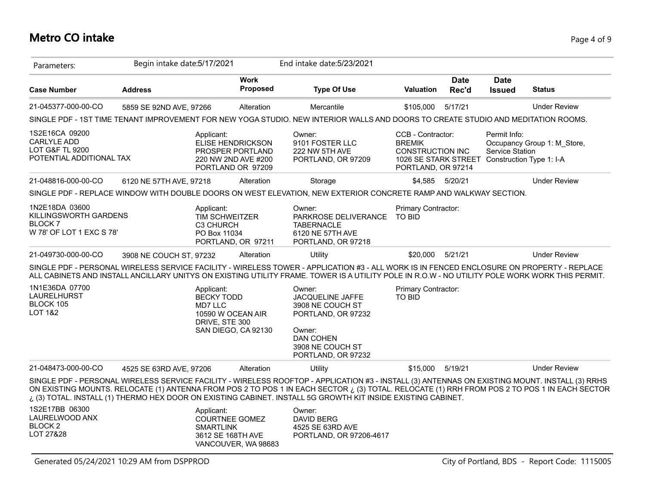### **Metro CO intake** Page 4 of 9

| Parameters:                                                                                    | Begin intake date: 5/17/2021 |                                                                                                          |                         | End intake date: 5/23/2021                                                                                                                                                                                                                                                                                                                                                                                     |                                                                                                                                      |                      |                                        |                             |
|------------------------------------------------------------------------------------------------|------------------------------|----------------------------------------------------------------------------------------------------------|-------------------------|----------------------------------------------------------------------------------------------------------------------------------------------------------------------------------------------------------------------------------------------------------------------------------------------------------------------------------------------------------------------------------------------------------------|--------------------------------------------------------------------------------------------------------------------------------------|----------------------|----------------------------------------|-----------------------------|
| <b>Case Number</b>                                                                             | <b>Address</b>               |                                                                                                          | <b>Work</b><br>Proposed | <b>Type Of Use</b>                                                                                                                                                                                                                                                                                                                                                                                             | <b>Valuation</b>                                                                                                                     | <b>Date</b><br>Rec'd | <b>Date</b><br><b>Issued</b>           | <b>Status</b>               |
| 21-045377-000-00-CO                                                                            | 5859 SE 92ND AVE, 97266      |                                                                                                          | Alteration              | Mercantile                                                                                                                                                                                                                                                                                                                                                                                                     | \$105,000                                                                                                                            | 5/17/21              |                                        | <b>Under Review</b>         |
|                                                                                                |                              |                                                                                                          |                         | SINGLE PDF - 1ST TIME TENANT IMPROVEMENT FOR NEW YOGA STUDIO. NEW INTERIOR WALLS AND DOORS TO CREATE STUDIO AND MEDITATION ROOMS.                                                                                                                                                                                                                                                                              |                                                                                                                                      |                      |                                        |                             |
| 1S2E16CA 09200<br><b>CARLYLE ADD</b><br><b>LOT G&amp;F TL 9200</b><br>POTENTIAL ADDITIONAL TAX |                              | Applicant:<br><b>ELISE HENDRICKSON</b><br>PROSPER PORTLAND<br>220 NW 2ND AVE #200<br>PORTLAND OR 97209   |                         | Owner:<br>9101 FOSTER LLC<br>222 NW 5TH AVE<br>PORTLAND, OR 97209                                                                                                                                                                                                                                                                                                                                              | CCB - Contractor:<br><b>BREMIK</b><br><b>CONSTRUCTION INC</b><br>1026 SE STARK STREET Construction Type 1: I-A<br>PORTLAND, OR 97214 |                      | Permit Info:<br><b>Service Station</b> | Occupancy Group 1: M Store, |
| 21-048816-000-00-CO                                                                            | 6120 NE 57TH AVE, 97218      |                                                                                                          | Alteration              | Storage                                                                                                                                                                                                                                                                                                                                                                                                        |                                                                                                                                      | \$4,585  5/20/21     |                                        | <b>Under Review</b>         |
|                                                                                                |                              |                                                                                                          |                         | SINGLE PDF - REPLACE WINDOW WITH DOUBLE DOORS ON WEST ELEVATION, NEW EXTERIOR CONCRETE RAMP AND WALKWAY SECTION.                                                                                                                                                                                                                                                                                               |                                                                                                                                      |                      |                                        |                             |
| 1N2E18DA 03600<br>KILLINGSWORTH GARDENS<br><b>BLOCK7</b><br>W 78' OF LOT 1 EXC S 78'           |                              | Applicant:<br>TIM SCHWEITZER<br>C3 CHURCH<br>PO Box 11034<br>PORTLAND, OR 97211                          |                         | Owner:<br>PARKROSE DELIVERANCE<br><b>TABERNACLE</b><br>6120 NE 57TH AVE<br>PORTLAND, OR 97218                                                                                                                                                                                                                                                                                                                  | Primary Contractor:<br>TO BID                                                                                                        |                      |                                        |                             |
| 21-049730-000-00-CO                                                                            | 3908 NE COUCH ST, 97232      |                                                                                                          | Alteration              | Utility                                                                                                                                                                                                                                                                                                                                                                                                        | \$20,000                                                                                                                             | 5/21/21              |                                        | <b>Under Review</b>         |
|                                                                                                |                              |                                                                                                          |                         | SINGLE PDF - PERSONAL WIRELESS SERVICE FACILITY - WIRELESS TOWER - APPLICATION #3 - ALL WORK IS IN FENCED ENCLOSURE ON PROPERTY - REPLACE<br>ALL CABINETS AND INSTALL ANCILLARY UNITYS ON EXISTING UTILITY FRAME. TOWER IS A UTILITY POLE IN R.O.W - NO UTILITY POLE WORK WORK THIS PERMIT.                                                                                                                    |                                                                                                                                      |                      |                                        |                             |
| 1N1E36DA 07700<br><b>LAURELHURST</b><br>BLOCK 105<br><b>LOT 1&amp;2</b>                        |                              | Applicant:<br><b>BECKY TODD</b><br>MD7 LLC<br>10590 W OCEAN AIR<br>DRIVE, STE 300<br>SAN DIEGO, CA 92130 |                         | Owner:<br><b>JACQUELINE JAFFE</b><br>3908 NE COUCH ST<br>PORTLAND, OR 97232<br>Owner:<br><b>DAN COHEN</b><br>3908 NE COUCH ST<br>PORTLAND, OR 97232                                                                                                                                                                                                                                                            | Primary Contractor:<br>TO BID                                                                                                        |                      |                                        |                             |
| 21-048473-000-00-CO                                                                            | 4525 SE 63RD AVE, 97206      |                                                                                                          | Alteration              | Utility                                                                                                                                                                                                                                                                                                                                                                                                        | \$15,000                                                                                                                             | 5/19/21              |                                        | <b>Under Review</b>         |
|                                                                                                |                              |                                                                                                          |                         | SINGLE PDF - PERSONAL WIRELESS SERVICE FACILITY - WIRELESS ROOFTOP - APPLICATION #3 - INSTALL (3) ANTENNAS ON EXISTING MOUNT. INSTALL (3) RRHS<br>ON EXISTING MOUNTS. RELOCATE (1) ANTENNA FROM POS 2 TO POS 1 IN EACH SECTOR ¿ (3) TOTAL. RELOCATE (1) RRH FROM POS 2 TO POS 1 IN EACH SECTOR<br>i (3) TOTAL. INSTALL (1) THERMO HEX DOOR ON EXISTING CABINET. INSTALL 5G GROWTH KIT INSIDE EXISTING CABINET. |                                                                                                                                      |                      |                                        |                             |
| 1S2E17BB 06300<br>LAURELWOOD ANX<br>BLOCK <sub>2</sub><br>LOT 27&28                            |                              | Applicant:<br><b>COURTNEE GOMEZ</b><br><b>SMARTLINK</b><br>3612 SE 168TH AVE                             | VANCOUVER, WA 98683     | Owner:<br>DAVID BERG<br>4525 SE 63RD AVE<br>PORTLAND, OR 97206-4617                                                                                                                                                                                                                                                                                                                                            |                                                                                                                                      |                      |                                        |                             |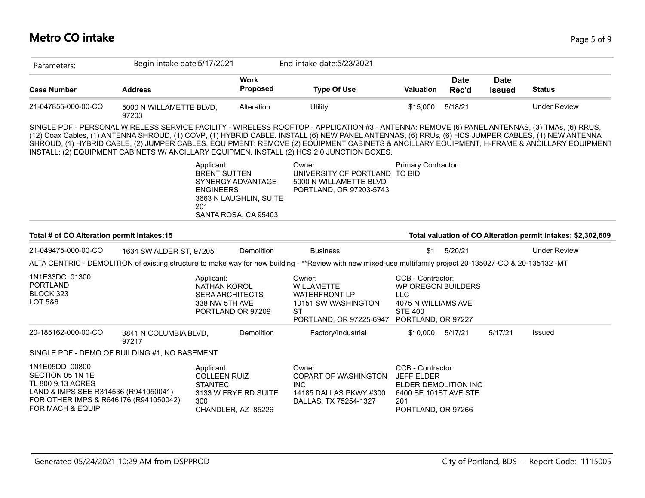| Parameters:                                                                                                                                                  | Begin intake date: 5/17/2021     |                                                                                             |                                                                     | End intake date: 5/23/2021                                                                                                                                                                                                                                                                                                                                                                                                                                                                                                                      |                                                                                                                       |                      |                              |                                                              |
|--------------------------------------------------------------------------------------------------------------------------------------------------------------|----------------------------------|---------------------------------------------------------------------------------------------|---------------------------------------------------------------------|-------------------------------------------------------------------------------------------------------------------------------------------------------------------------------------------------------------------------------------------------------------------------------------------------------------------------------------------------------------------------------------------------------------------------------------------------------------------------------------------------------------------------------------------------|-----------------------------------------------------------------------------------------------------------------------|----------------------|------------------------------|--------------------------------------------------------------|
| <b>Case Number</b>                                                                                                                                           | <b>Address</b>                   |                                                                                             | <b>Work</b><br><b>Proposed</b>                                      | <b>Type Of Use</b>                                                                                                                                                                                                                                                                                                                                                                                                                                                                                                                              | Valuation                                                                                                             | <b>Date</b><br>Rec'd | <b>Date</b><br><b>Issued</b> | <b>Status</b>                                                |
| 21-047855-000-00-CO                                                                                                                                          | 5000 N WILLAMETTE BLVD,<br>97203 |                                                                                             | Alteration                                                          | Utility                                                                                                                                                                                                                                                                                                                                                                                                                                                                                                                                         | \$15,000                                                                                                              | 5/18/21              |                              | <b>Under Review</b>                                          |
|                                                                                                                                                              |                                  |                                                                                             |                                                                     | SINGLE PDF - PERSONAL WIRELESS SERVICE FACILITY - WIRELESS ROOFTOP - APPLICATION #3 - ANTENNA: REMOVE (6) PANEL ANTENNAS, (3) TMAs, (6) RRUS,<br>(12) Coax Cables, (1) ANTENNA SHROUD, (1) COVP, (1) HYBRID CABLE. INSTALL (6) NEW PANEL ANTENNAS, (6) RRUs, (6) HCS JUMPER CABLES, (1) NEW ANTENNA<br>SHROUD, (1) HYBRID CABLE, (2) JUMPER CABLES. EQUIPMENT: REMOVE (2) EQUIPMENT CABINETS & ANCILLARY EQUIPMENT, H-FRAME & ANCILLARY EQUIPMENT<br>INSTALL: (2) EQUIPMENT CABINETS W/ ANCILLARY EQUIPMEN. INSTALL (2) HCS 2.0 JUNCTION BOXES. |                                                                                                                       |                      |                              |                                                              |
|                                                                                                                                                              |                                  | Applicant:<br><b>BRENT SUTTEN</b><br><b>ENGINEERS</b><br>201                                | SYNERGY ADVANTAGE<br>3663 N LAUGHLIN, SUITE<br>SANTA ROSA, CA 95403 | Owner:<br>UNIVERSITY OF PORTLAND TO BID<br>5000 N WILLAMETTE BLVD<br>PORTLAND, OR 97203-5743                                                                                                                                                                                                                                                                                                                                                                                                                                                    | Primary Contractor:                                                                                                   |                      |                              |                                                              |
| Total # of CO Alteration permit intakes:15                                                                                                                   |                                  |                                                                                             |                                                                     |                                                                                                                                                                                                                                                                                                                                                                                                                                                                                                                                                 |                                                                                                                       |                      |                              | Total valuation of CO Alteration permit intakes: \$2,302,609 |
| 21-049475-000-00-CO                                                                                                                                          | 1634 SW ALDER ST, 97205          |                                                                                             | Demolition                                                          | <b>Business</b>                                                                                                                                                                                                                                                                                                                                                                                                                                                                                                                                 |                                                                                                                       | \$1 5/20/21          |                              | <b>Under Review</b>                                          |
|                                                                                                                                                              |                                  |                                                                                             |                                                                     | ALTA CENTRIC - DEMOLITION of existing structure to make way for new building - **Review with new mixed-use multifamily project 20-135027-CO & 20-135132 -MT                                                                                                                                                                                                                                                                                                                                                                                     |                                                                                                                       |                      |                              |                                                              |
| 1N1E33DC 01300<br><b>PORTLAND</b><br>BLOCK 323<br>LOT 5&6                                                                                                    |                                  | Applicant:<br>NATHAN KOROL<br><b>SERA ARCHITECTS</b><br>338 NW 5TH AVE<br>PORTLAND OR 97209 |                                                                     | Owner:<br><b>WILLAMETTE</b><br><b>WATERFRONT LP</b><br>10151 SW WASHINGTON<br><b>ST</b><br>PORTLAND, OR 97225-6947                                                                                                                                                                                                                                                                                                                                                                                                                              | CCB - Contractor:<br><b>WP OREGON BUILDERS</b><br>LLC.<br>4075 N WILLIAMS AVE<br><b>STE 400</b><br>PORTLAND, OR 97227 |                      |                              |                                                              |
| 20-185162-000-00-CO                                                                                                                                          | 3841 N COLUMBIA BLVD,<br>97217   |                                                                                             | Demolition                                                          | Factory/Industrial                                                                                                                                                                                                                                                                                                                                                                                                                                                                                                                              | \$10,000 5/17/21                                                                                                      |                      | 5/17/21                      | Issued                                                       |
| SINGLE PDF - DEMO OF BUILDING #1, NO BASEMENT                                                                                                                |                                  |                                                                                             |                                                                     |                                                                                                                                                                                                                                                                                                                                                                                                                                                                                                                                                 |                                                                                                                       |                      |                              |                                                              |
| 1N1E05DD 00800<br>SECTION 05 1N 1E<br>TL 800 9.13 ACRES<br>LAND & IMPS SEE R314536 (R941050041)<br>FOR OTHER IMPS & R646176 (R941050042)<br>FOR MACH & EQUIP |                                  | Applicant:<br><b>COLLEEN RUIZ</b><br><b>STANTEC</b><br>300<br>CHANDLER, AZ 85226            | 3133 W FRYE RD SUITE                                                | Owner:<br><b>COPART OF WASHINGTON</b><br><b>INC</b><br>14185 DALLAS PKWY #300<br>DALLAS, TX 75254-1327                                                                                                                                                                                                                                                                                                                                                                                                                                          | CCB - Contractor:<br><b>JEFF ELDER</b><br>ELDER DEMOLITION INC<br>6400 SE 101ST AVE STE<br>201<br>PORTLAND, OR 97266  |                      |                              |                                                              |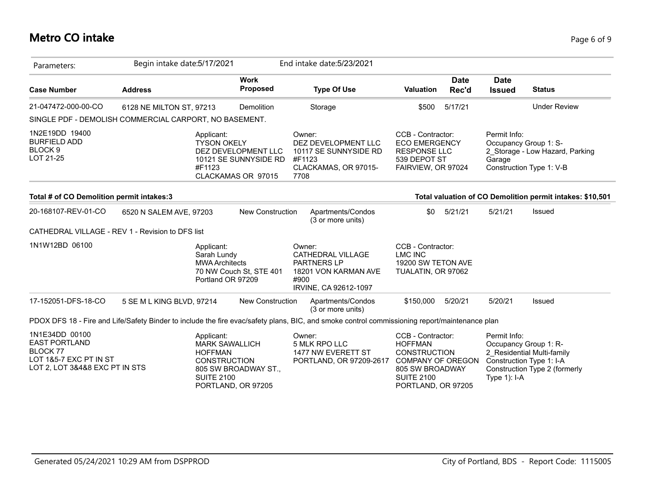## **Metro CO intake** Page 6 of 9

| Parameters:                                                                                                                                   | Begin intake date: 5/17/2021 |                                                                                                                         |                                                                    |                          | End intake date: 5/23/2021                                                               |                                                                                                                                                      |                      |                                                                                      |                                                             |
|-----------------------------------------------------------------------------------------------------------------------------------------------|------------------------------|-------------------------------------------------------------------------------------------------------------------------|--------------------------------------------------------------------|--------------------------|------------------------------------------------------------------------------------------|------------------------------------------------------------------------------------------------------------------------------------------------------|----------------------|--------------------------------------------------------------------------------------|-------------------------------------------------------------|
| <b>Case Number</b>                                                                                                                            | <b>Address</b>               |                                                                                                                         | <b>Work</b><br>Proposed                                            |                          | <b>Type Of Use</b>                                                                       | <b>Valuation</b>                                                                                                                                     | <b>Date</b><br>Rec'd | <b>Date</b><br><b>Issued</b>                                                         | <b>Status</b>                                               |
| 21-047472-000-00-CO                                                                                                                           | 6128 NE MILTON ST, 97213     |                                                                                                                         | Demolition                                                         |                          | Storage                                                                                  | \$500                                                                                                                                                | 5/17/21              |                                                                                      | <b>Under Review</b>                                         |
| SINGLE PDF - DEMOLISH COMMERCIAL CARPORT, NO BASEMENT.                                                                                        |                              |                                                                                                                         |                                                                    |                          |                                                                                          |                                                                                                                                                      |                      |                                                                                      |                                                             |
| 1N2E19DD 19400<br><b>BURFIELD ADD</b><br>BLOCK <sub>9</sub><br>LOT 21-25                                                                      |                              | Applicant:<br><b>TYSON OKELY</b><br>#F1123                                                                              | DEZ DEVELOPMENT LLC<br>10121 SE SUNNYSIDE RD<br>CLACKAMAS OR 97015 | Owner:<br>#F1123<br>7708 | DEZ DEVELOPMENT LLC<br>10117 SE SUNNYSIDE RD<br>CLACKAMAS, OR 97015-                     | CCB - Contractor:<br><b>ECO EMERGENCY</b><br><b>RESPONSE LLC</b><br>539 DEPOT ST<br>FAIRVIEW, OR 97024                                               |                      | Permit Info:<br>Occupancy Group 1: S-<br>Garage<br>Construction Type 1: V-B          | 2_Storage - Low Hazard, Parking                             |
| Total # of CO Demolition permit intakes:3                                                                                                     |                              |                                                                                                                         |                                                                    |                          |                                                                                          |                                                                                                                                                      |                      |                                                                                      | Total valuation of CO Demolition permit intakes: \$10,501   |
| 20-168107-REV-01-CO                                                                                                                           | 6520 N SALEM AVE, 97203      |                                                                                                                         | <b>New Construction</b>                                            |                          | Apartments/Condos<br>(3 or more units)                                                   | \$0                                                                                                                                                  | 5/21/21              | 5/21/21                                                                              | Issued                                                      |
| CATHEDRAL VILLAGE - REV 1 - Revision to DFS list                                                                                              |                              |                                                                                                                         |                                                                    |                          |                                                                                          |                                                                                                                                                      |                      |                                                                                      |                                                             |
| 1N1W12BD 06100                                                                                                                                |                              | Applicant:<br>Sarah Lundy<br><b>MWA Architects</b><br>Portland OR 97209                                                 | 70 NW Couch St, STE 401                                            | Owner:<br>#900           | CATHEDRAL VILLAGE<br><b>PARTNERS LP</b><br>18201 VON KARMAN AVE<br>IRVINE, CA 92612-1097 | CCB - Contractor:<br><b>LMC INC</b><br>19200 SW TETON AVE<br>TUALATIN, OR 97062                                                                      |                      |                                                                                      |                                                             |
| 17-152051-DFS-18-CO                                                                                                                           | 5 SE M L KING BLVD, 97214    |                                                                                                                         | New Construction                                                   |                          | Apartments/Condos<br>(3 or more units)                                                   | \$150,000                                                                                                                                            | 5/20/21              | 5/20/21                                                                              | Issued                                                      |
| PDOX DFS 18 - Fire and Life/Safety Binder to include the fire evac/safety plans, BIC, and smoke control commissioning report/maintenance plan |                              |                                                                                                                         |                                                                    |                          |                                                                                          |                                                                                                                                                      |                      |                                                                                      |                                                             |
| 1N1E34DD 00100<br><b>EAST PORTLAND</b><br><b>BLOCK 77</b><br>LOT 1&5-7 EXC PT IN ST<br>LOT 2, LOT 3&4&8 EXC PT IN STS                         |                              | Applicant:<br><b>MARK SAWALLICH</b><br><b>HOFFMAN</b><br><b>CONSTRUCTION</b><br><b>SUITE 2100</b><br>PORTLAND, OR 97205 | 805 SW BROADWAY ST.,                                               | Owner:                   | 5 MLK RPO LLC<br>1477 NW EVERETT ST<br>PORTLAND, OR 97209-2617                           | CCB - Contractor:<br><b>HOFFMAN</b><br><b>CONSTRUCTION</b><br><b>COMPANY OF OREGON</b><br>805 SW BROADWAY<br><b>SUITE 2100</b><br>PORTLAND, OR 97205 |                      | Permit Info:<br>Occupancy Group 1: R-<br>Construction Type 1: I-A<br>Type $1$ ): I-A | 2_Residential Multi-family<br>Construction Type 2 (formerly |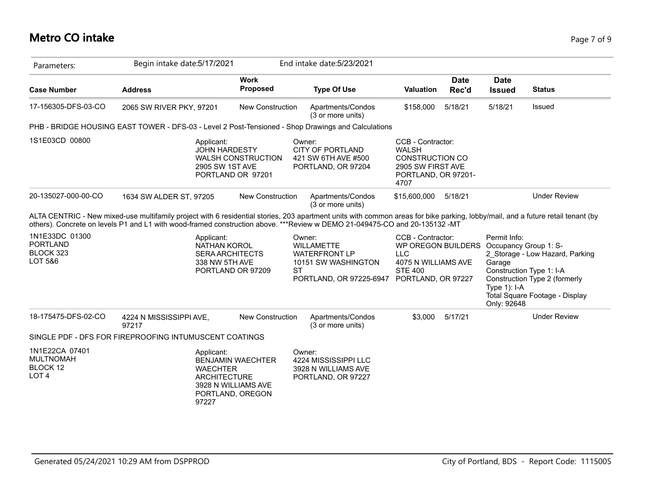| Parameters:                                                        | Begin intake date: 5/17/2021                                                                                                                                                                                                                                                                                  |                                                                     |                     | End intake date: 5/23/2021                                                                  |                                                                                                                                            |                      |                                                         |                                                                                                                                |
|--------------------------------------------------------------------|---------------------------------------------------------------------------------------------------------------------------------------------------------------------------------------------------------------------------------------------------------------------------------------------------------------|---------------------------------------------------------------------|---------------------|---------------------------------------------------------------------------------------------|--------------------------------------------------------------------------------------------------------------------------------------------|----------------------|---------------------------------------------------------|--------------------------------------------------------------------------------------------------------------------------------|
| <b>Case Number</b>                                                 | <b>Address</b>                                                                                                                                                                                                                                                                                                | <b>Work</b><br><b>Proposed</b>                                      |                     | <b>Type Of Use</b>                                                                          | <b>Valuation</b>                                                                                                                           | <b>Date</b><br>Rec'd | <b>Date</b><br><b>Issued</b>                            | <b>Status</b>                                                                                                                  |
| 17-156305-DFS-03-CO                                                | 2065 SW RIVER PKY, 97201                                                                                                                                                                                                                                                                                      | New Construction                                                    |                     | Apartments/Condos<br>(3 or more units)                                                      | \$158,000                                                                                                                                  | 5/18/21              | 5/18/21                                                 | Issued                                                                                                                         |
|                                                                    | PHB - BRIDGE HOUSING EAST TOWER - DFS-03 - Level 2 Post-Tensioned - Shop Drawings and Calculations                                                                                                                                                                                                            |                                                                     |                     |                                                                                             |                                                                                                                                            |                      |                                                         |                                                                                                                                |
| 1S1E03CD 00800                                                     | Applicant:<br><b>JOHN HARDESTY</b><br>2905 SW 1ST AVE                                                                                                                                                                                                                                                         | <b>WALSH CONSTRUCTION</b><br>PORTLAND OR 97201                      | Owner:              | <b>CITY OF PORTLAND</b><br>421 SW 6TH AVE #500<br>PORTLAND, OR 97204                        | CCB - Contractor:<br><b>WALSH</b><br><b>CONSTRUCTION CO</b><br>2905 SW FIRST AVE<br>PORTLAND, OR 97201-<br>4707                            |                      |                                                         |                                                                                                                                |
| 20-135027-000-00-CO                                                | 1634 SW ALDER ST, 97205                                                                                                                                                                                                                                                                                       | <b>New Construction</b>                                             |                     | Apartments/Condos<br>(3 or more units)                                                      | \$15,600,000                                                                                                                               | 5/18/21              |                                                         | <b>Under Review</b>                                                                                                            |
|                                                                    | ALTA CENTRIC - New mixed-use multifamily project with 6 residential stories, 203 apartment units with common areas for bike parking, lobby/mail, and a future retail tenant (by<br>others). Concrete on levels P1 and L1 with wood-framed construction above. ***Review w DEMO 21-049475-CO and 20-135132 -MT |                                                                     |                     |                                                                                             |                                                                                                                                            |                      |                                                         |                                                                                                                                |
| 1N1E33DC 01300<br><b>PORTLAND</b><br>BLOCK 323<br>LOT 5&6          | Applicant:<br><b>NATHAN KOROL</b><br><b>SERA ARCHITECTS</b><br>338 NW 5TH AVE<br>PORTLAND OR 97209                                                                                                                                                                                                            |                                                                     | Owner:<br><b>ST</b> | <b>WILLAMETTE</b><br><b>WATERFRONT LP</b><br>10151 SW WASHINGTON<br>PORTLAND, OR 97225-6947 | CCB - Contractor:<br>WP OREGON BUILDERS Occupancy Group 1: S-<br><b>LLC</b><br>4075 N WILLIAMS AVE<br><b>STE 400</b><br>PORTLAND, OR 97227 |                      | Permit Info:<br>Garage<br>Type $1$ : I-A<br>Only: 92648 | 2_Storage - Low Hazard, Parking<br>Construction Type 1: I-A<br>Construction Type 2 (formerly<br>Total Square Footage - Display |
| 18-175475-DFS-02-CO                                                | 4224 N MISSISSIPPI AVE,<br>97217                                                                                                                                                                                                                                                                              | <b>New Construction</b>                                             |                     | Apartments/Condos<br>(3 or more units)                                                      | \$3,000                                                                                                                                    | 5/17/21              |                                                         | <b>Under Review</b>                                                                                                            |
|                                                                    | SINGLE PDF - DFS FOR FIREPROOFING INTUMUSCENT COATINGS                                                                                                                                                                                                                                                        |                                                                     |                     |                                                                                             |                                                                                                                                            |                      |                                                         |                                                                                                                                |
| 1N1E22CA 07401<br><b>MULTNOMAH</b><br>BLOCK 12<br>LOT <sub>4</sub> | Applicant:<br><b>WAECHTER</b><br><b>ARCHITECTURE</b><br>97227                                                                                                                                                                                                                                                 | <b>BENJAMIN WAECHTER</b><br>3928 N WILLIAMS AVE<br>PORTLAND, OREGON | Owner:              | 4224 MISSISSIPPI LLC<br>3928 N WILLIAMS AVE<br>PORTLAND, OR 97227                           |                                                                                                                                            |                      |                                                         |                                                                                                                                |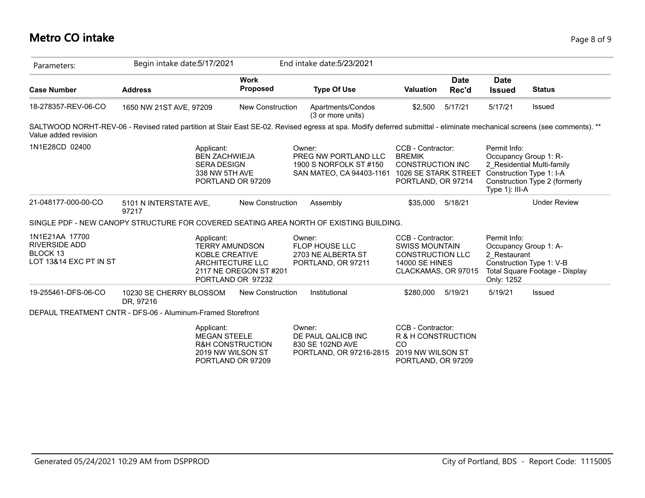| Parameters:                                                                             | Begin intake date: 5/17/2021                                                                                                                                            |                                                                       | End intake date: 5/23/2021                                                                                |                                                                                                                       |                      |                                                                                     |                                                             |
|-----------------------------------------------------------------------------------------|-------------------------------------------------------------------------------------------------------------------------------------------------------------------------|-----------------------------------------------------------------------|-----------------------------------------------------------------------------------------------------------|-----------------------------------------------------------------------------------------------------------------------|----------------------|-------------------------------------------------------------------------------------|-------------------------------------------------------------|
| <b>Case Number</b>                                                                      | <b>Address</b>                                                                                                                                                          | <b>Work</b><br>Proposed                                               | <b>Type Of Use</b>                                                                                        | <b>Valuation</b>                                                                                                      | <b>Date</b><br>Rec'd | <b>Date</b><br><b>Issued</b>                                                        | <b>Status</b>                                               |
| 18-278357-REV-06-CO                                                                     | 1650 NW 21ST AVE, 97209                                                                                                                                                 | <b>New Construction</b>                                               | Apartments/Condos<br>(3 or more units)                                                                    | \$2.500                                                                                                               | 5/17/21              | 5/17/21                                                                             | Issued                                                      |
| Value added revision                                                                    | SALTWOOD NORHT-REV-06 - Revised rated partition at Stair East SE-02. Revised egress at spa. Modify deferred submittal - eliminate mechanical screens (see comments). ** |                                                                       |                                                                                                           |                                                                                                                       |                      |                                                                                     |                                                             |
| 1N1E28CD 02400                                                                          | Applicant:<br><b>BEN ZACHWIEJA</b><br><b>SERA DESIGN</b><br>338 NW 5TH AVE                                                                                              | PORTLAND OR 97209                                                     | Owner:<br>PREG NW PORTLAND LLC<br>1900 S NORFOLK ST #150<br>SAN MATEO, CA 94403-1161 1026 SE STARK STREET | CCB - Contractor:<br><b>BREMIK</b><br><b>CONSTRUCTION INC</b><br>PORTLAND, OR 97214                                   |                      | Permit Info:<br>Occupancy Group 1: R-<br>Construction Type 1: I-A<br>Type 1): III-A | 2 Residential Multi-family<br>Construction Type 2 (formerly |
| 21-048177-000-00-CO                                                                     | 5101 N INTERSTATE AVE,<br>97217                                                                                                                                         | <b>New Construction</b>                                               | Assembly                                                                                                  | \$35,000                                                                                                              | 5/18/21              |                                                                                     | <b>Under Review</b>                                         |
|                                                                                         | SINGLE PDF - NEW CANOPY STRUCTURE FOR COVERED SEATING AREA NORTH OF EXISTING BUILDING.                                                                                  |                                                                       |                                                                                                           |                                                                                                                       |                      |                                                                                     |                                                             |
| 1N1E21AA 17700<br><b>RIVERSIDE ADD</b><br>BLOCK <sub>13</sub><br>LOT 13&14 EXC PT IN ST | Applicant:<br><b>TERRY AMUNDSON</b><br><b>KOBLE CREATIVE</b><br>ARCHITECTURE LLC                                                                                        | 2117 NE OREGON ST #201<br>PORTLAND OR 97232                           | Owner:<br>FLOP HOUSE LLC<br>2703 NE ALBERTA ST<br>PORTLAND, OR 97211                                      | CCB - Contractor:<br><b>SWISS MOUNTAIN</b><br><b>CONSTRUCTION LLC</b><br><b>14000 SE HINES</b><br>CLACKAMAS, OR 97015 |                      | Permit Info:<br>Occupancy Group 1: A-<br>2 Restaurant<br>Only: 1252                 | Construction Type 1: V-B<br>Total Square Footage - Display  |
| 19-255461-DFS-06-CO                                                                     | 10230 SE CHERRY BLOSSOM<br>DR, 97216                                                                                                                                    | <b>New Construction</b>                                               | Institutional                                                                                             | \$280,000                                                                                                             | 5/19/21              | 5/19/21                                                                             | Issued                                                      |
|                                                                                         | DEPAUL TREATMENT CNTR - DFS-06 - Aluminum-Framed Storefront                                                                                                             |                                                                       |                                                                                                           |                                                                                                                       |                      |                                                                                     |                                                             |
|                                                                                         | Applicant:<br><b>MEGAN STEELE</b>                                                                                                                                       | <b>R&amp;H CONSTRUCTION</b><br>2019 NW WILSON ST<br>PORTLAND OR 97209 | Owner:<br>DE PAUL QALICB INC<br>830 SE 102ND AVE<br>PORTLAND, OR 97216-2815                               | CCB - Contractor:<br>R & H CONSTRUCTION<br><sub>CO</sub><br>2019 NW WILSON ST<br>PORTLAND, OR 97209                   |                      |                                                                                     |                                                             |